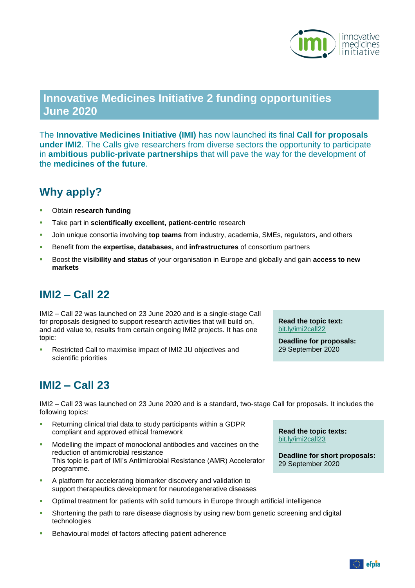

## **Innovative Medicines Initiative 2 funding opportunities June 2020**

The **Innovative Medicines Initiative (IMI)** has now launched its final **Call for proposals under IMI2**. The Calls give researchers from diverse sectors the opportunity to participate in **ambitious public-private partnerships** that will pave the way for the development of the **medicines of the future**.

# **Why apply?**

- Obtain **research funding**
- Take part in **scientifically excellent, patient-centric** research
- Join unique consortia involving **top teams** from industry, academia, SMEs, regulators, and others
- Benefit from the **expertise, databases,** and **infrastructures** of consortium partners
- Boost the **visibility and status** of your organisation in Europe and globally and gain **access to new markets**

### **IMI2 – Call 22**

IMI2 – Call 22 was launched on 23 June 2020 and is a single-stage Call for proposals designed to support research activities that will build on, and add value to, results from certain ongoing IMI2 projects. It has one topic:

**Restricted Call to maximise impact of IMI2 JU objectives and** scientific priorities

**Read the topic text:** [bit.ly/imi2call22](https://bit.ly/imi2call22)

**Deadline for proposals:** 29 September 2020

#### **IMI2 – Call 23**

IMI2 – Call 23 was launched on 23 June 2020 and is a standard, two-stage Call for proposals. It includes the following topics:

- Returning clinical trial data to study participants within a GDPR compliant and approved ethical framework
- Modelling the impact of monoclonal antibodies and vaccines on the reduction of antimicrobial resistance This topic is part of IMI's Antimicrobial Resistance (AMR) Accelerator programme.
- A platform for accelerating biomarker discovery and validation to support therapeutics development for neurodegenerative diseases
- Optimal treatment for patients with solid tumours in Europe through artificial intelligence
- Shortening the path to rare disease diagnosis by using new born genetic screening and digital technologies
- **Behavioural model of factors affecting patient adherence**

**Read the topic texts:** [bit.ly/imi2call23](https://bit.ly/imi2call23)

**Deadline for short proposals:** 29 September 2020